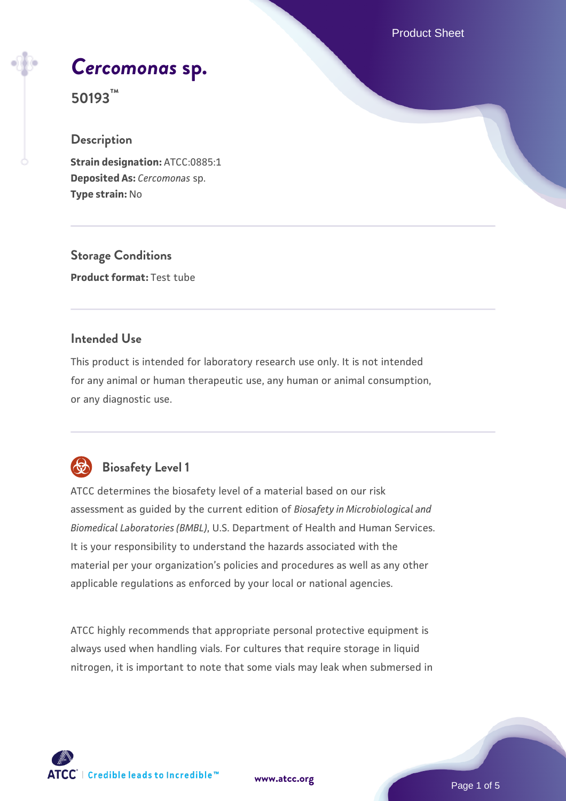Product Sheet

# *[Cercomonas](https://www.atcc.org/products/50193)* **[sp.](https://www.atcc.org/products/50193)**

**50193™**

# **Description**

**Strain designation:** ATCC:0885:1 **Deposited As:** *Cercomonas* sp. **Type strain:** No

**Storage Conditions Product format:** Test tube

# **Intended Use**

This product is intended for laboratory research use only. It is not intended for any animal or human therapeutic use, any human or animal consumption, or any diagnostic use.



# **Biosafety Level 1**

ATCC determines the biosafety level of a material based on our risk assessment as guided by the current edition of *Biosafety in Microbiological and Biomedical Laboratories (BMBL)*, U.S. Department of Health and Human Services. It is your responsibility to understand the hazards associated with the material per your organization's policies and procedures as well as any other applicable regulations as enforced by your local or national agencies.

ATCC highly recommends that appropriate personal protective equipment is always used when handling vials. For cultures that require storage in liquid nitrogen, it is important to note that some vials may leak when submersed in

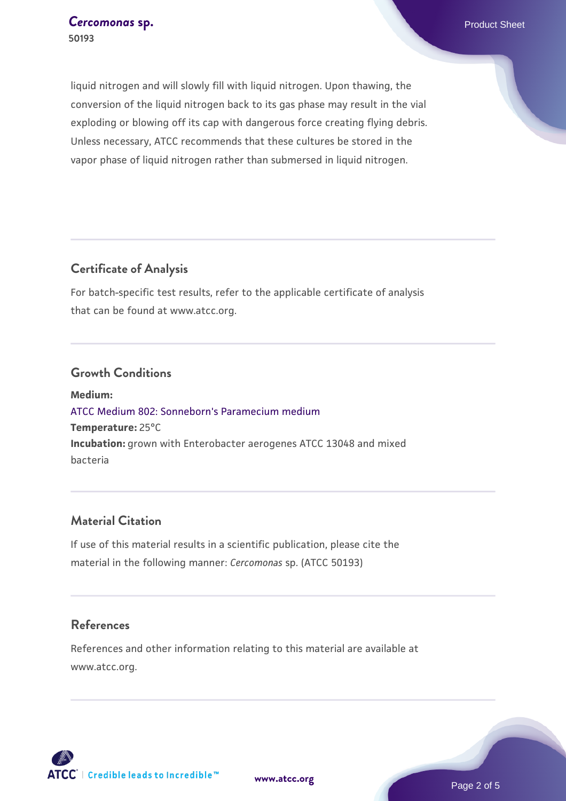liquid nitrogen and will slowly fill with liquid nitrogen. Upon thawing, the conversion of the liquid nitrogen back to its gas phase may result in the vial exploding or blowing off its cap with dangerous force creating flying debris. Unless necessary, ATCC recommends that these cultures be stored in the vapor phase of liquid nitrogen rather than submersed in liquid nitrogen.

# **Certificate of Analysis**

For batch-specific test results, refer to the applicable certificate of analysis that can be found at www.atcc.org.

#### **Growth Conditions**

**Medium:**  [ATCC Medium 802: Sonneborn's Paramecium medium](https://www.atcc.org/-/media/product-assets/documents/microbial-media-formulations/8/0/2/atcc-medium-802.pdf?rev=73d25dbdd49b44529c8ac49753787d74) **Temperature:** 25°C **Incubation:** grown with Enterobacter aerogenes ATCC 13048 and mixed bacteria

### **Material Citation**

If use of this material results in a scientific publication, please cite the material in the following manner: *Cercomonas* sp. (ATCC 50193)

#### **References**

References and other information relating to this material are available at www.atcc.org.

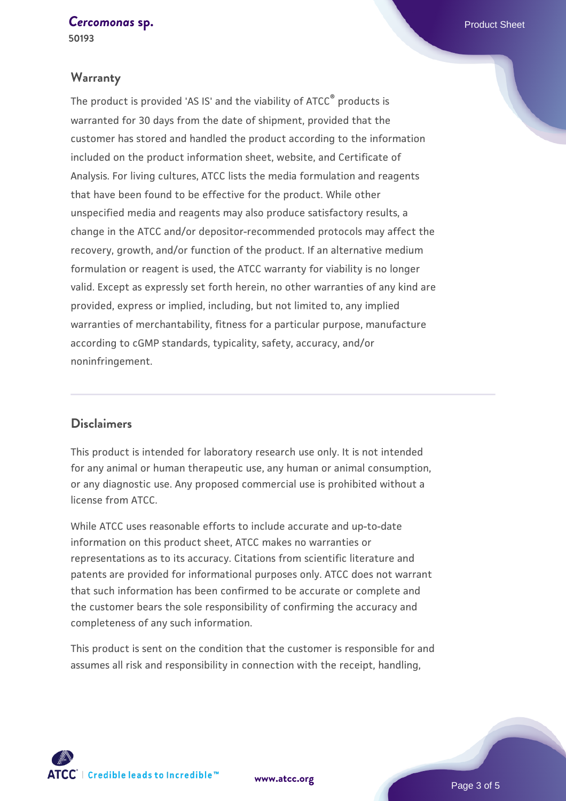*[Cercomonas](https://www.atcc.org/products/50193)* **[sp.](https://www.atcc.org/products/50193)** Product Sheet

**50193**

## **Warranty**

The product is provided 'AS IS' and the viability of ATCC® products is warranted for 30 days from the date of shipment, provided that the customer has stored and handled the product according to the information included on the product information sheet, website, and Certificate of Analysis. For living cultures, ATCC lists the media formulation and reagents that have been found to be effective for the product. While other unspecified media and reagents may also produce satisfactory results, a change in the ATCC and/or depositor-recommended protocols may affect the recovery, growth, and/or function of the product. If an alternative medium formulation or reagent is used, the ATCC warranty for viability is no longer valid. Except as expressly set forth herein, no other warranties of any kind are provided, express or implied, including, but not limited to, any implied warranties of merchantability, fitness for a particular purpose, manufacture according to cGMP standards, typicality, safety, accuracy, and/or noninfringement.

# **Disclaimers**

This product is intended for laboratory research use only. It is not intended for any animal or human therapeutic use, any human or animal consumption, or any diagnostic use. Any proposed commercial use is prohibited without a license from ATCC.

While ATCC uses reasonable efforts to include accurate and up-to-date information on this product sheet, ATCC makes no warranties or representations as to its accuracy. Citations from scientific literature and patents are provided for informational purposes only. ATCC does not warrant that such information has been confirmed to be accurate or complete and the customer bears the sole responsibility of confirming the accuracy and completeness of any such information.

This product is sent on the condition that the customer is responsible for and assumes all risk and responsibility in connection with the receipt, handling,

**[www.atcc.org](http://www.atcc.org)**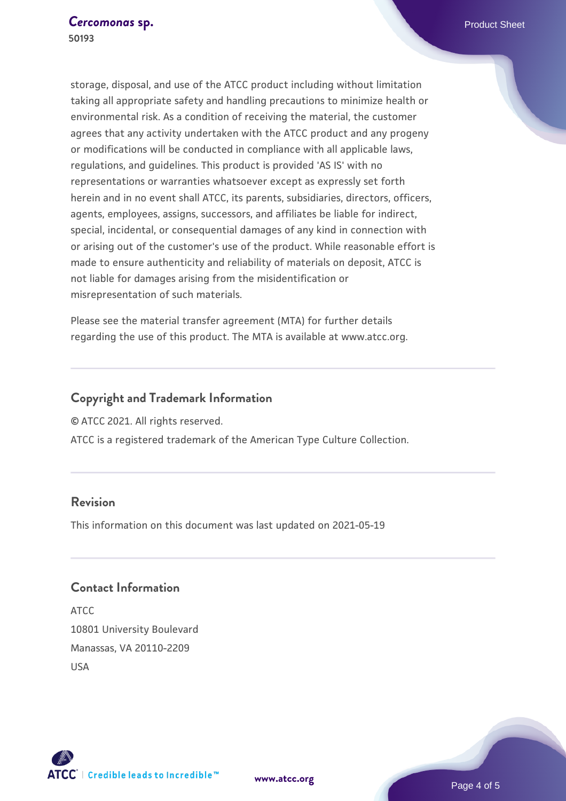storage, disposal, and use of the ATCC product including without limitation taking all appropriate safety and handling precautions to minimize health or environmental risk. As a condition of receiving the material, the customer agrees that any activity undertaken with the ATCC product and any progeny or modifications will be conducted in compliance with all applicable laws, regulations, and guidelines. This product is provided 'AS IS' with no representations or warranties whatsoever except as expressly set forth herein and in no event shall ATCC, its parents, subsidiaries, directors, officers, agents, employees, assigns, successors, and affiliates be liable for indirect, special, incidental, or consequential damages of any kind in connection with or arising out of the customer's use of the product. While reasonable effort is made to ensure authenticity and reliability of materials on deposit, ATCC is not liable for damages arising from the misidentification or misrepresentation of such materials.

Please see the material transfer agreement (MTA) for further details regarding the use of this product. The MTA is available at www.atcc.org.

# **Copyright and Trademark Information**

© ATCC 2021. All rights reserved.

ATCC is a registered trademark of the American Type Culture Collection.

# **Revision**

This information on this document was last updated on 2021-05-19

# **Contact Information**

ATCC 10801 University Boulevard Manassas, VA 20110-2209 USA